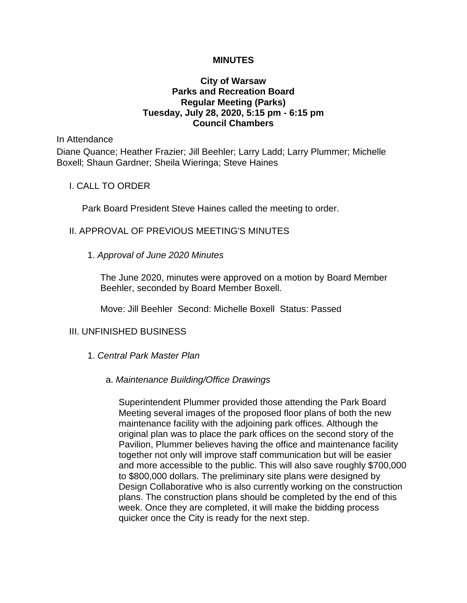### **MINUTES**

# **City of Warsaw Parks and Recreation Board Regular Meeting (Parks) Tuesday, July 28, 2020, 5:15 pm - 6:15 pm Council Chambers**

In Attendance

Diane Quance; Heather Frazier; Jill Beehler; Larry Ladd; Larry Plummer; Michelle Boxell; Shaun Gardner; Sheila Wieringa; Steve Haines

I. CALL TO ORDER

Park Board President Steve Haines called the meeting to order.

### II. APPROVAL OF PREVIOUS MEETING'S MINUTES

1. *Approval of June 2020 Minutes*

The June 2020, minutes were approved on a motion by Board Member Beehler, seconded by Board Member Boxell.

Move: Jill Beehler Second: Michelle Boxell Status: Passed

#### III. UNFINISHED BUSINESS

1. *Central Park Master Plan*

#### a. *Maintenance Building/Office Drawings*

Superintendent Plummer provided those attending the Park Board Meeting several images of the proposed floor plans of both the new maintenance facility with the adjoining park offices. Although the original plan was to place the park offices on the second story of the Pavilion, Plummer believes having the office and maintenance facility together not only will improve staff communication but will be easier and more accessible to the public. This will also save roughly \$700,000 to \$800,000 dollars. The preliminary site plans were designed by Design Collaborative who is also currently working on the construction plans. The construction plans should be completed by the end of this week. Once they are completed, it will make the bidding process quicker once the City is ready for the next step.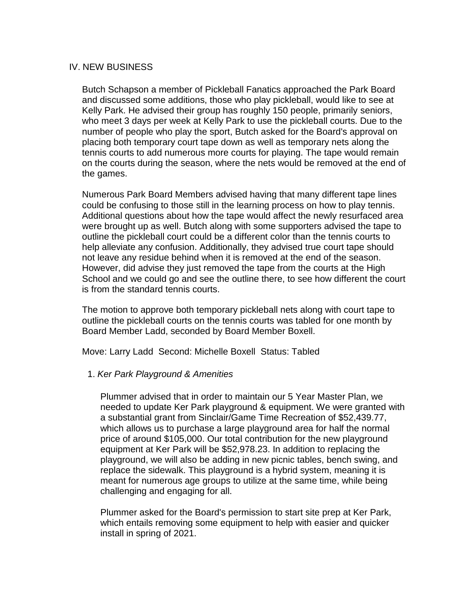## IV. NEW BUSINESS

Butch Schapson a member of Pickleball Fanatics approached the Park Board and discussed some additions, those who play pickleball, would like to see at Kelly Park. He advised their group has roughly 150 people, primarily seniors, who meet 3 days per week at Kelly Park to use the pickleball courts. Due to the number of people who play the sport, Butch asked for the Board's approval on placing both temporary court tape down as well as temporary nets along the tennis courts to add numerous more courts for playing. The tape would remain on the courts during the season, where the nets would be removed at the end of the games.

Numerous Park Board Members advised having that many different tape lines could be confusing to those still in the learning process on how to play tennis. Additional questions about how the tape would affect the newly resurfaced area were brought up as well. Butch along with some supporters advised the tape to outline the pickleball court could be a different color than the tennis courts to help alleviate any confusion. Additionally, they advised true court tape should not leave any residue behind when it is removed at the end of the season. However, did advise they just removed the tape from the courts at the High School and we could go and see the outline there, to see how different the court is from the standard tennis courts.

The motion to approve both temporary pickleball nets along with court tape to outline the pickleball courts on the tennis courts was tabled for one month by Board Member Ladd, seconded by Board Member Boxell.

Move: Larry Ladd Second: Michelle Boxell Status: Tabled

1. *Ker Park Playground & Amenities* 

Plummer advised that in order to maintain our 5 Year Master Plan, we needed to update Ker Park playground & equipment. We were granted with a substantial grant from Sinclair/Game Time Recreation of \$52,439.77, which allows us to purchase a large playground area for half the normal price of around \$105,000. Our total contribution for the new playground equipment at Ker Park will be \$52,978.23. In addition to replacing the playground, we will also be adding in new picnic tables, bench swing, and replace the sidewalk. This playground is a hybrid system, meaning it is meant for numerous age groups to utilize at the same time, while being challenging and engaging for all.

Plummer asked for the Board's permission to start site prep at Ker Park, which entails removing some equipment to help with easier and quicker install in spring of 2021.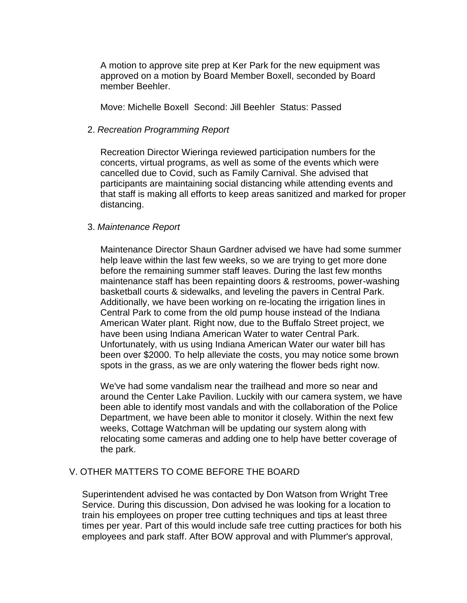A motion to approve site prep at Ker Park for the new equipment was approved on a motion by Board Member Boxell, seconded by Board member Beehler.

Move: Michelle Boxell Second: Jill Beehler Status: Passed

### 2. *Recreation Programming Report*

Recreation Director Wieringa reviewed participation numbers for the concerts, virtual programs, as well as some of the events which were cancelled due to Covid, such as Family Carnival. She advised that participants are maintaining social distancing while attending events and that staff is making all efforts to keep areas sanitized and marked for proper distancing.

# 3. *Maintenance Report*

Maintenance Director Shaun Gardner advised we have had some summer help leave within the last few weeks, so we are trying to get more done before the remaining summer staff leaves. During the last few months maintenance staff has been repainting doors & restrooms, power-washing basketball courts & sidewalks, and leveling the pavers in Central Park. Additionally, we have been working on re-locating the irrigation lines in Central Park to come from the old pump house instead of the Indiana American Water plant. Right now, due to the Buffalo Street project, we have been using Indiana American Water to water Central Park. Unfortunately, with us using Indiana American Water our water bill has been over \$2000. To help alleviate the costs, you may notice some brown spots in the grass, as we are only watering the flower beds right now.

We've had some vandalism near the trailhead and more so near and around the Center Lake Pavilion. Luckily with our camera system, we have been able to identify most vandals and with the collaboration of the Police Department, we have been able to monitor it closely. Within the next few weeks, Cottage Watchman will be updating our system along with relocating some cameras and adding one to help have better coverage of the park.

# V. OTHER MATTERS TO COME BEFORE THE BOARD

Superintendent advised he was contacted by Don Watson from Wright Tree Service. During this discussion, Don advised he was looking for a location to train his employees on proper tree cutting techniques and tips at least three times per year. Part of this would include safe tree cutting practices for both his employees and park staff. After BOW approval and with Plummer's approval,